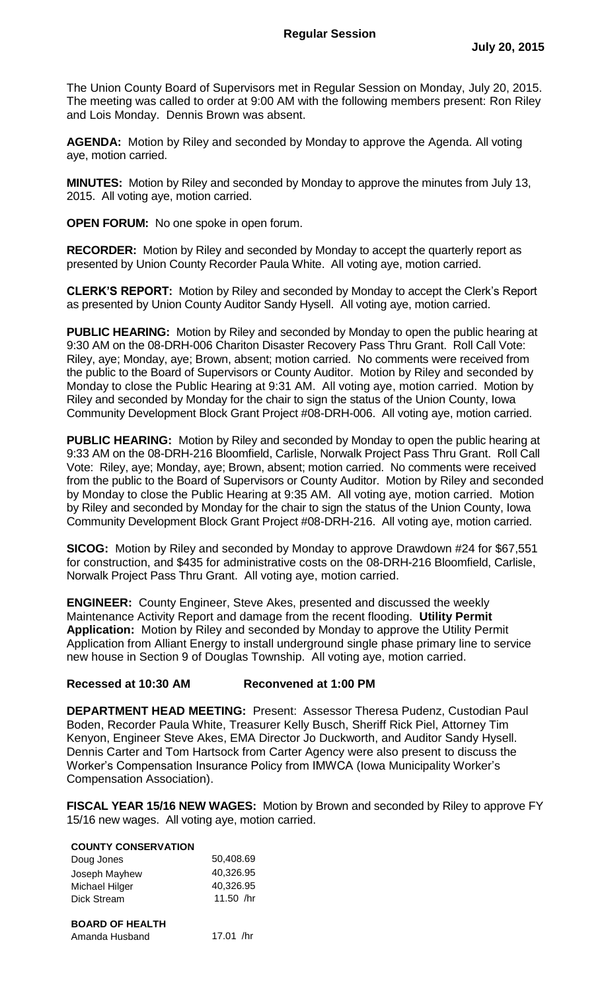The Union County Board of Supervisors met in Regular Session on Monday, July 20, 2015. The meeting was called to order at 9:00 AM with the following members present: Ron Riley and Lois Monday. Dennis Brown was absent.

**AGENDA:** Motion by Riley and seconded by Monday to approve the Agenda. All voting aye, motion carried.

**MINUTES:** Motion by Riley and seconded by Monday to approve the minutes from July 13, 2015. All voting aye, motion carried.

**OPEN FORUM:** No one spoke in open forum.

**RECORDER:** Motion by Riley and seconded by Monday to accept the quarterly report as presented by Union County Recorder Paula White. All voting aye, motion carried.

**CLERK'S REPORT:** Motion by Riley and seconded by Monday to accept the Clerk's Report as presented by Union County Auditor Sandy Hysell. All voting aye, motion carried.

**PUBLIC HEARING:** Motion by Riley and seconded by Monday to open the public hearing at 9:30 AM on the 08-DRH-006 Chariton Disaster Recovery Pass Thru Grant. Roll Call Vote: Riley, aye; Monday, aye; Brown, absent; motion carried. No comments were received from the public to the Board of Supervisors or County Auditor. Motion by Riley and seconded by Monday to close the Public Hearing at 9:31 AM. All voting aye, motion carried. Motion by Riley and seconded by Monday for the chair to sign the status of the Union County, Iowa Community Development Block Grant Project #08-DRH-006. All voting aye, motion carried.

**PUBLIC HEARING:** Motion by Riley and seconded by Monday to open the public hearing at 9:33 AM on the 08-DRH-216 Bloomfield, Carlisle, Norwalk Project Pass Thru Grant. Roll Call Vote: Riley, aye; Monday, aye; Brown, absent; motion carried. No comments were received from the public to the Board of Supervisors or County Auditor. Motion by Riley and seconded by Monday to close the Public Hearing at 9:35 AM. All voting aye, motion carried. Motion by Riley and seconded by Monday for the chair to sign the status of the Union County, Iowa Community Development Block Grant Project #08-DRH-216. All voting aye, motion carried.

**SICOG:** Motion by Riley and seconded by Monday to approve Drawdown #24 for \$67,551 for construction, and \$435 for administrative costs on the 08-DRH-216 Bloomfield, Carlisle, Norwalk Project Pass Thru Grant. All voting aye, motion carried.

**ENGINEER:** County Engineer, Steve Akes, presented and discussed the weekly Maintenance Activity Report and damage from the recent flooding. **Utility Permit Application:** Motion by Riley and seconded by Monday to approve the Utility Permit Application from Alliant Energy to install underground single phase primary line to service new house in Section 9 of Douglas Township. All voting aye, motion carried.

## **Recessed at 10:30 AM Reconvened at 1:00 PM**

**DEPARTMENT HEAD MEETING:** Present: Assessor Theresa Pudenz, Custodian Paul Boden, Recorder Paula White, Treasurer Kelly Busch, Sheriff Rick Piel, Attorney Tim Kenyon, Engineer Steve Akes, EMA Director Jo Duckworth, and Auditor Sandy Hysell. Dennis Carter and Tom Hartsock from Carter Agency were also present to discuss the Worker's Compensation Insurance Policy from IMWCA (Iowa Municipality Worker's Compensation Association).

**FISCAL YEAR 15/16 NEW WAGES:** Motion by Brown and seconded by Riley to approve FY 15/16 new wages. All voting aye, motion carried.

## **COUNTY CONSERVATION**

| Doug Jones             | 50,408.69 |
|------------------------|-----------|
| Joseph Mayhew          | 40,326.95 |
| Michael Hilger         | 40,326.95 |
| <b>Dick Stream</b>     | 11.50 /hr |
|                        |           |
| <b>BOARD OF HEALTH</b> |           |
| Amanda Husband         | 17.01 /hr |